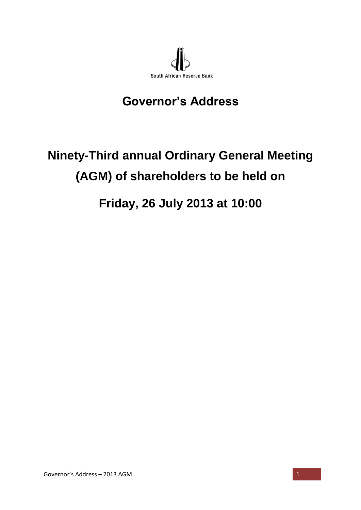

## **Governor's Address**

## **Ninety-Third annual Ordinary General Meeting (AGM) of shareholders to be held on**

## **Friday, 26 July 2013 at 10:00**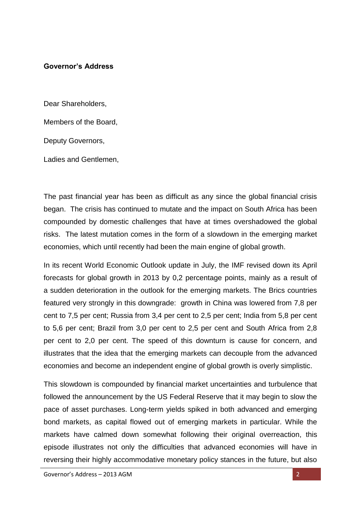## **Governor's Address**

Dear Shareholders,

Members of the Board,

Deputy Governors,

Ladies and Gentlemen,

The past financial year has been as difficult as any since the global financial crisis began. The crisis has continued to mutate and the impact on South Africa has been compounded by domestic challenges that have at times overshadowed the global risks. The latest mutation comes in the form of a slowdown in the emerging market economies, which until recently had been the main engine of global growth.

In its recent World Economic Outlook update in July, the IMF revised down its April forecasts for global growth in 2013 by 0,2 percentage points, mainly as a result of a sudden deterioration in the outlook for the emerging markets. The Brics countries featured very strongly in this downgrade: growth in China was lowered from 7,8 per cent to 7,5 per cent; Russia from 3,4 per cent to 2,5 per cent; India from 5,8 per cent to 5,6 per cent; Brazil from 3,0 per cent to 2,5 per cent and South Africa from 2,8 per cent to 2,0 per cent. The speed of this downturn is cause for concern, and illustrates that the idea that the emerging markets can decouple from the advanced economies and become an independent engine of global growth is overly simplistic.

This slowdown is compounded by financial market uncertainties and turbulence that followed the announcement by the US Federal Reserve that it may begin to slow the pace of asset purchases. Long-term yields spiked in both advanced and emerging bond markets, as capital flowed out of emerging markets in particular. While the markets have calmed down somewhat following their original overreaction, this episode illustrates not only the difficulties that advanced economies will have in reversing their highly accommodative monetary policy stances in the future, but also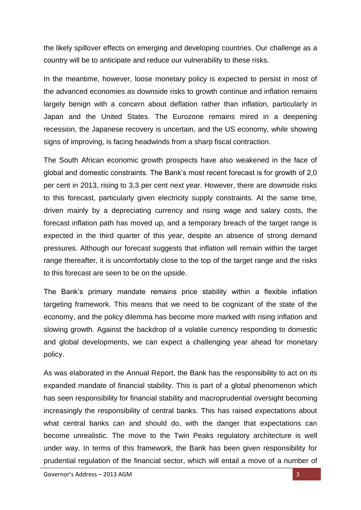the likely spillover effects on emerging and developing countries. Our challenge as a country will be to anticipate and reduce our vulnerability to these risks.

In the meantime, however, loose monetary policy is expected to persist in most of the advanced economies as downside risks to growth continue and inflation remains largely benign with a concern about deflation rather than inflation, particularly in Japan and the United States. The Eurozone remains mired in a deepening recession, the Japanese recovery is uncertain, and the US economy, while showing signs of improving, is facing headwinds from a sharp fiscal contraction.

The South African economic growth prospects have also weakened in the face of global and domestic constraints. The Bank's most recent forecast is for growth of 2,0 per cent in 2013, rising to 3,3 per cent next year. However, there are downside risks to this forecast, particularly given electricity supply constraints. At the same time, driven mainly by a depreciating currency and rising wage and salary costs, the forecast inflation path has moved up, and a temporary breach of the target range is expected in the third quarter of this year, despite an absence of strong demand pressures. Although our forecast suggests that inflation will remain within the target range thereafter, it is uncomfortably close to the top of the target range and the risks to this forecast are seen to be on the upside.

The Bank's primary mandate remains price stability within a flexible inflation targeting framework. This means that we need to be cognizant of the state of the economy, and the policy dilemma has become more marked with rising inflation and slowing growth. Against the backdrop of a volatile currency responding to domestic and global developments, we can expect a challenging year ahead for monetary policy.

As was elaborated in the Annual Report, the Bank has the responsibility to act on its expanded mandate of financial stability. This is part of a global phenomenon which has seen responsibility for financial stability and macroprudential oversight becoming increasingly the responsibility of central banks. This has raised expectations about what central banks can and should do, with the danger that expectations can become unrealistic. The move to the Twin Peaks regulatory architecture is well under way. In terms of this framework, the Bank has been given responsibility for prudential regulation of the financial sector, which will entail a move of a number of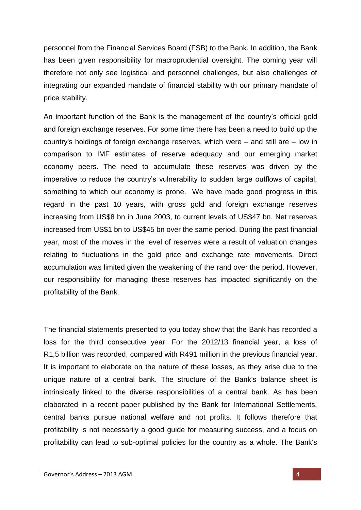personnel from the Financial Services Board (FSB) to the Bank. In addition, the Bank has been given responsibility for macroprudential oversight. The coming year will therefore not only see logistical and personnel challenges, but also challenges of integrating our expanded mandate of financial stability with our primary mandate of price stability.

An important function of the Bank is the management of the country's official gold and foreign exchange reserves. For some time there has been a need to build up the country's holdings of foreign exchange reserves, which were – and still are – low in comparison to IMF estimates of reserve adequacy and our emerging market economy peers. The need to accumulate these reserves was driven by the imperative to reduce the country's vulnerability to sudden large outflows of capital, something to which our economy is prone. We have made good progress in this regard in the past 10 years, with gross gold and foreign exchange reserves increasing from US\$8 bn in June 2003, to current levels of US\$47 bn. Net reserves increased from US\$1 bn to US\$45 bn over the same period. During the past financial year, most of the moves in the level of reserves were a result of valuation changes relating to fluctuations in the gold price and exchange rate movements. Direct accumulation was limited given the weakening of the rand over the period. However, our responsibility for managing these reserves has impacted significantly on the profitability of the Bank.

The financial statements presented to you today show that the Bank has recorded a loss for the third consecutive year. For the 2012/13 financial year, a loss of R1,5 billion was recorded, compared with R491 million in the previous financial year. It is important to elaborate on the nature of these losses, as they arise due to the unique nature of a central bank. The structure of the Bank's balance sheet is intrinsically linked to the diverse responsibilities of a central bank. As has been elaborated in a recent paper published by the Bank for International Settlements, central banks pursue national welfare and not profits. It follows therefore that profitability is not necessarily a good guide for measuring success, and a focus on profitability can lead to sub-optimal policies for the country as a whole. The Bank's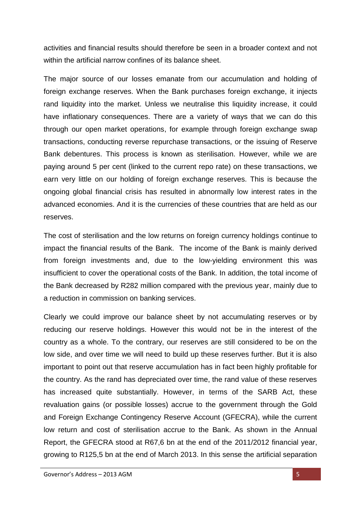activities and financial results should therefore be seen in a broader context and not within the artificial narrow confines of its balance sheet.

The major source of our losses emanate from our accumulation and holding of foreign exchange reserves. When the Bank purchases foreign exchange, it injects rand liquidity into the market. Unless we neutralise this liquidity increase, it could have inflationary consequences. There are a variety of ways that we can do this through our open market operations, for example through foreign exchange swap transactions, conducting reverse repurchase transactions, or the issuing of Reserve Bank debentures. This process is known as sterilisation. However, while we are paying around 5 per cent (linked to the current repo rate) on these transactions, we earn very little on our holding of foreign exchange reserves. This is because the ongoing global financial crisis has resulted in abnormally low interest rates in the advanced economies. And it is the currencies of these countries that are held as our reserves.

The cost of sterilisation and the low returns on foreign currency holdings continue to impact the financial results of the Bank. The income of the Bank is mainly derived from foreign investments and, due to the low-yielding environment this was insufficient to cover the operational costs of the Bank. In addition, the total income of the Bank decreased by R282 million compared with the previous year, mainly due to a reduction in commission on banking services.

Clearly we could improve our balance sheet by not accumulating reserves or by reducing our reserve holdings. However this would not be in the interest of the country as a whole. To the contrary, our reserves are still considered to be on the low side, and over time we will need to build up these reserves further. But it is also important to point out that reserve accumulation has in fact been highly profitable for the country. As the rand has depreciated over time, the rand value of these reserves has increased quite substantially. However, in terms of the SARB Act, these revaluation gains (or possible losses) accrue to the government through the Gold and Foreign Exchange Contingency Reserve Account (GFECRA), while the current low return and cost of sterilisation accrue to the Bank. As shown in the Annual Report, the GFECRA stood at R67,6 bn at the end of the 2011/2012 financial year, growing to R125,5 bn at the end of March 2013. In this sense the artificial separation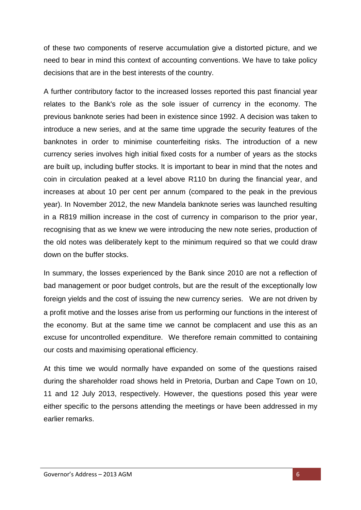of these two components of reserve accumulation give a distorted picture, and we need to bear in mind this context of accounting conventions. We have to take policy decisions that are in the best interests of the country.

A further contributory factor to the increased losses reported this past financial year relates to the Bank's role as the sole issuer of currency in the economy. The previous banknote series had been in existence since 1992. A decision was taken to introduce a new series, and at the same time upgrade the security features of the banknotes in order to minimise counterfeiting risks. The introduction of a new currency series involves high initial fixed costs for a number of years as the stocks are built up, including buffer stocks. It is important to bear in mind that the notes and coin in circulation peaked at a level above R110 bn during the financial year, and increases at about 10 per cent per annum (compared to the peak in the previous year). In November 2012, the new Mandela banknote series was launched resulting in a R819 million increase in the cost of currency in comparison to the prior year, recognising that as we knew we were introducing the new note series, production of the old notes was deliberately kept to the minimum required so that we could draw down on the buffer stocks.

In summary, the losses experienced by the Bank since 2010 are not a reflection of bad management or poor budget controls, but are the result of the exceptionally low foreign yields and the cost of issuing the new currency series. We are not driven by a profit motive and the losses arise from us performing our functions in the interest of the economy. But at the same time we cannot be complacent and use this as an excuse for uncontrolled expenditure. We therefore remain committed to containing our costs and maximising operational efficiency.

At this time we would normally have expanded on some of the questions raised during the shareholder road shows held in Pretoria, Durban and Cape Town on 10, 11 and 12 July 2013, respectively. However, the questions posed this year were either specific to the persons attending the meetings or have been addressed in my earlier remarks.